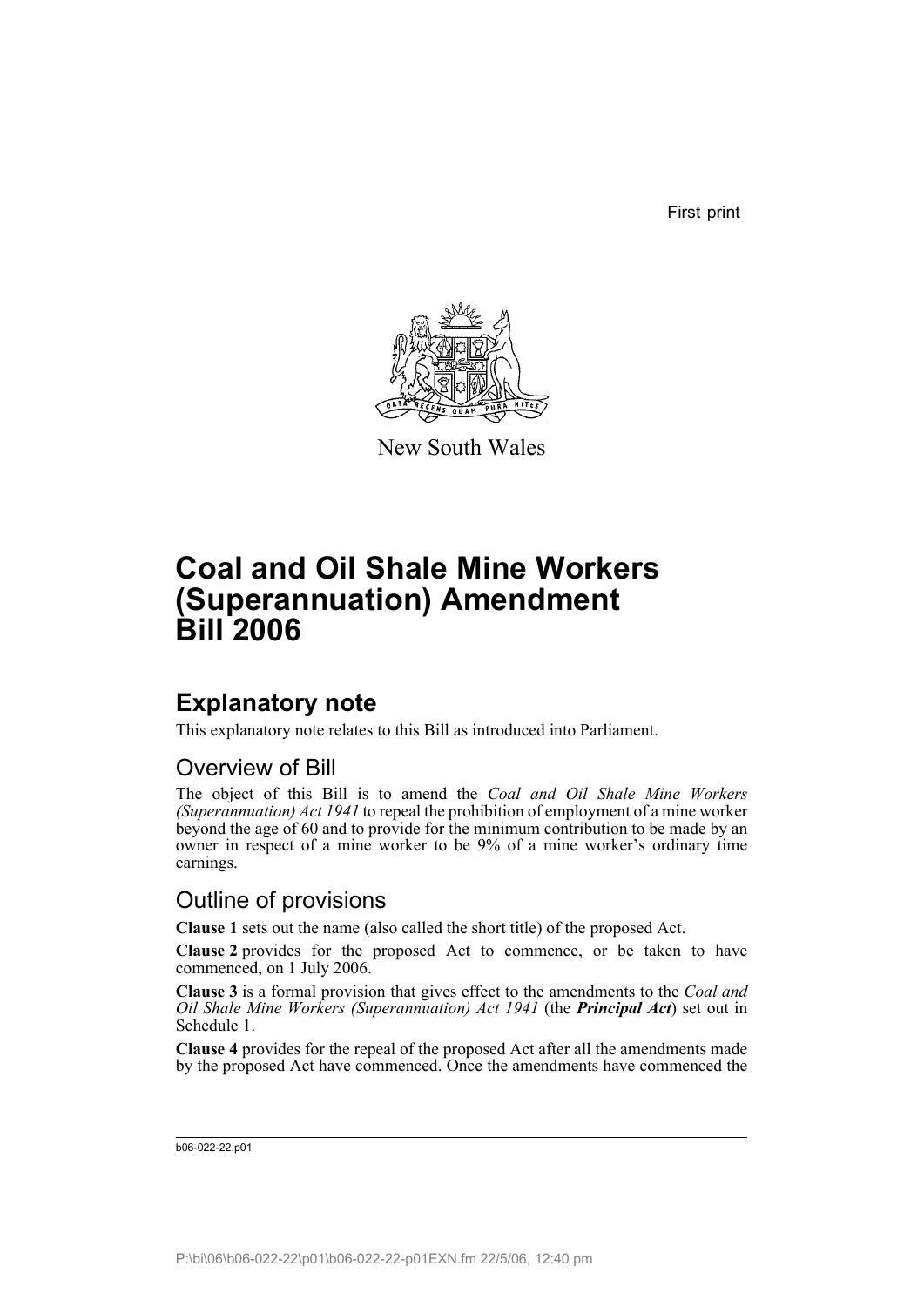First print



New South Wales

# **Coal and Oil Shale Mine Workers (Superannuation) Amendment Bill 2006**

## **Explanatory note**

This explanatory note relates to this Bill as introduced into Parliament.

### Overview of Bill

The object of this Bill is to amend the *Coal and Oil Shale Mine Workers (Superannuation) Act 1941* to repeal the prohibition of employment of a mine worker beyond the age of 60 and to provide for the minimum contribution to be made by an owner in respect of a mine worker to be 9% of a mine worker's ordinary time earnings.

### Outline of provisions

**Clause 1** sets out the name (also called the short title) of the proposed Act.

**Clause 2** provides for the proposed Act to commence, or be taken to have commenced, on 1 July 2006.

**Clause 3** is a formal provision that gives effect to the amendments to the *Coal and Oil Shale Mine Workers (Superannuation) Act 1941* (the *Principal Act*) set out in Schedule 1.

**Clause 4** provides for the repeal of the proposed Act after all the amendments made by the proposed Act have commenced. Once the amendments have commenced the

b06-022-22.p01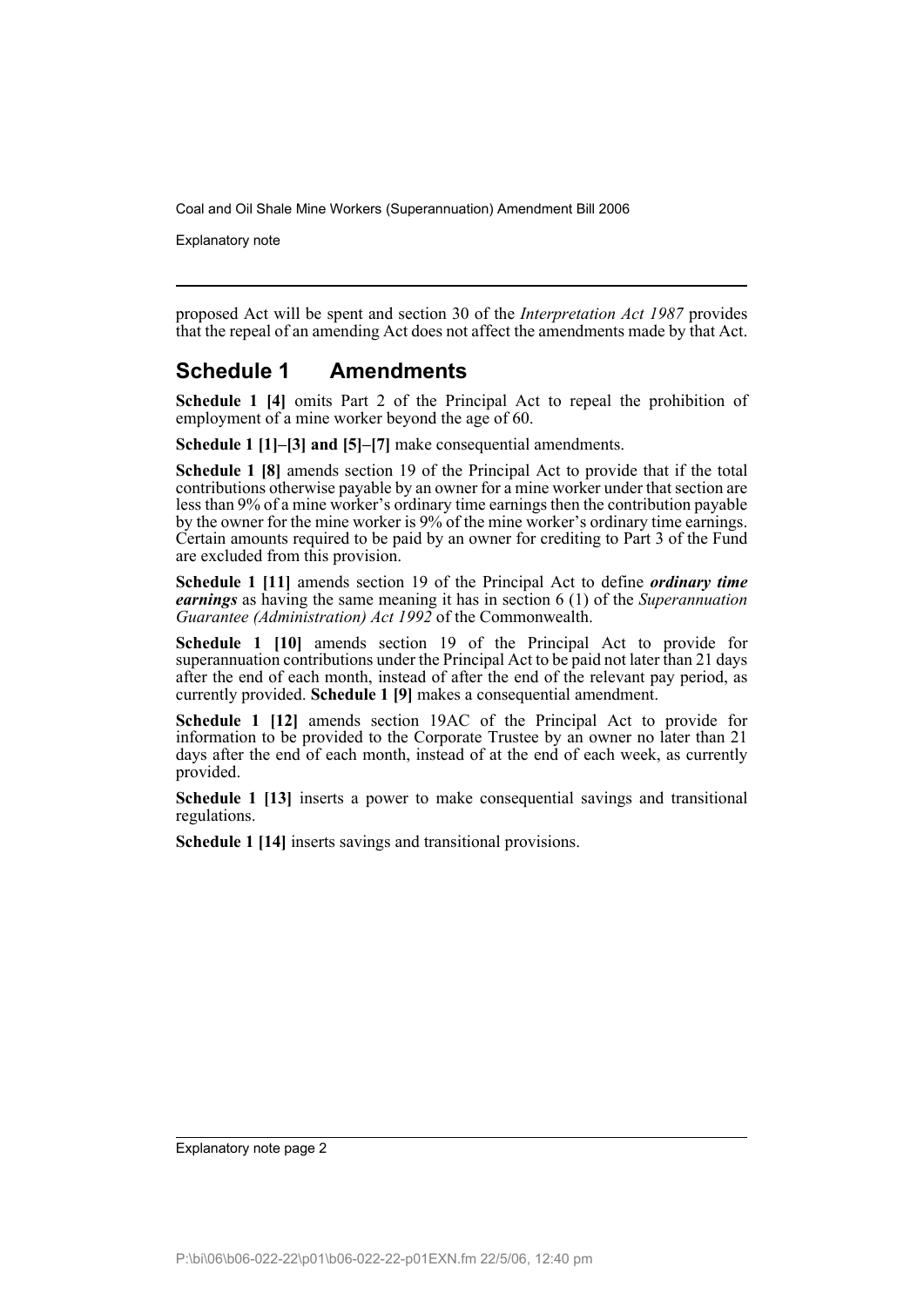Explanatory note

proposed Act will be spent and section 30 of the *Interpretation Act 1987* provides that the repeal of an amending Act does not affect the amendments made by that Act.

#### **Schedule 1 Amendments**

**Schedule 1 [4]** omits Part 2 of the Principal Act to repeal the prohibition of employment of a mine worker beyond the age of 60.

**Schedule 1 [1]–[3] and [5]–[7]** make consequential amendments.

**Schedule 1 [8]** amends section 19 of the Principal Act to provide that if the total contributions otherwise payable by an owner for a mine worker under that section are less than 9% of a mine worker's ordinary time earnings then the contribution payable by the owner for the mine worker is 9% of the mine worker's ordinary time earnings. Certain amounts required to be paid by an owner for crediting to Part 3 of the Fund are excluded from this provision.

**Schedule 1 [11]** amends section 19 of the Principal Act to define *ordinary time earnings* as having the same meaning it has in section 6 (1) of the *Superannuation Guarantee (Administration) Act 1992* of the Commonwealth.

**Schedule 1 [10]** amends section 19 of the Principal Act to provide for superannuation contributions under the Principal Act to be paid not later than 21 days after the end of each month, instead of after the end of the relevant pay period, as currently provided. **Schedule 1 [9]** makes a consequential amendment.

**Schedule 1 [12]** amends section 19AC of the Principal Act to provide for information to be provided to the Corporate Trustee by an owner no later than 21 days after the end of each month, instead of at the end of each week, as currently provided.

**Schedule 1 [13]** inserts a power to make consequential savings and transitional regulations.

**Schedule 1 [14]** inserts savings and transitional provisions.

Explanatory note page 2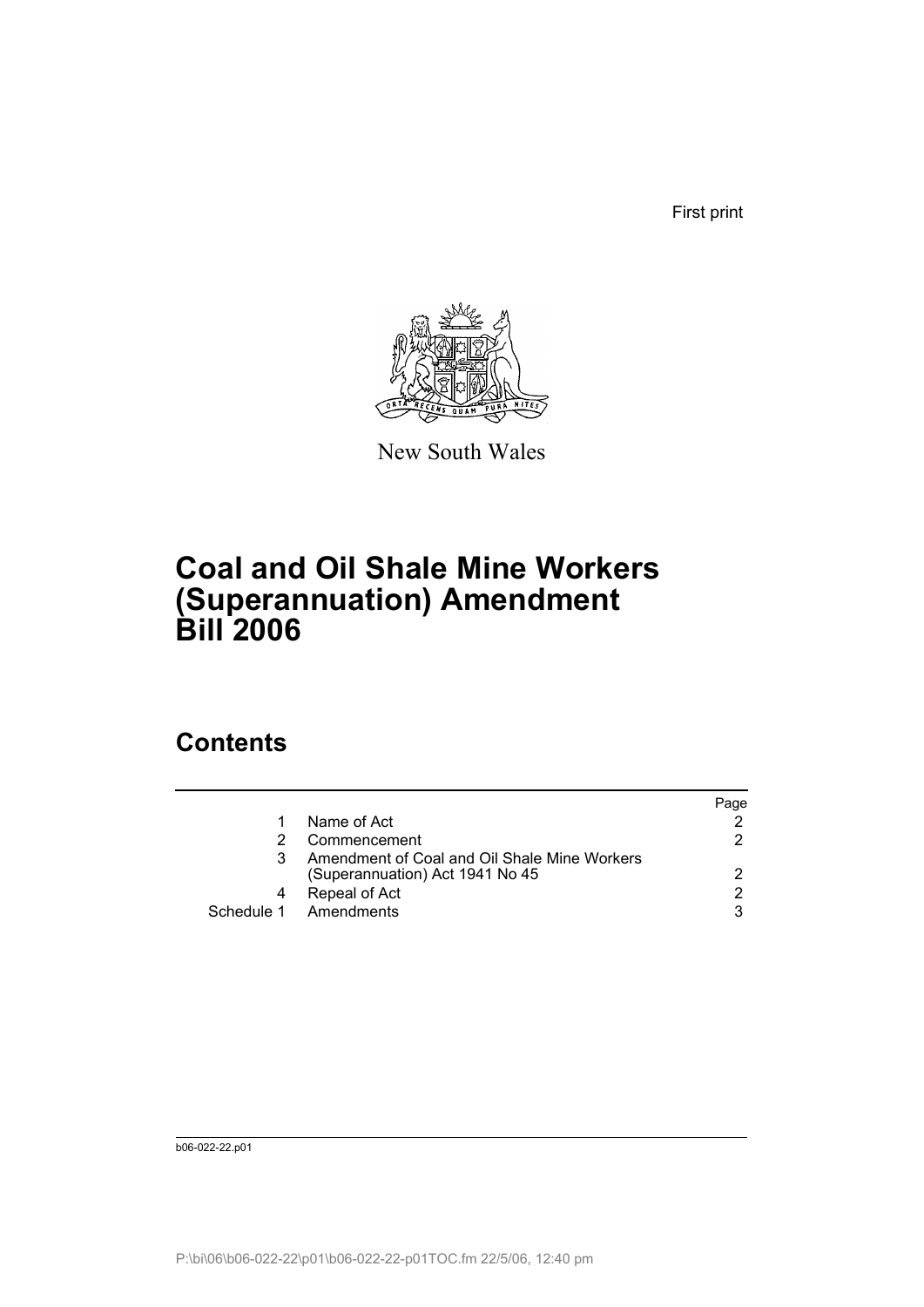First print



New South Wales

# **Coal and Oil Shale Mine Workers (Superannuation) Amendment Bill 2006**

## **Contents**

|                                                                                 | Page                 |
|---------------------------------------------------------------------------------|----------------------|
| Name of Act                                                                     |                      |
| Commencement                                                                    | 2.                   |
| Amendment of Coal and Oil Shale Mine Workers<br>(Superannuation) Act 1941 No 45 |                      |
| Repeal of Act                                                                   | $\mathcal{P} \equiv$ |
| Schedule 1 Amendments                                                           | 3                    |

b06-022-22.p01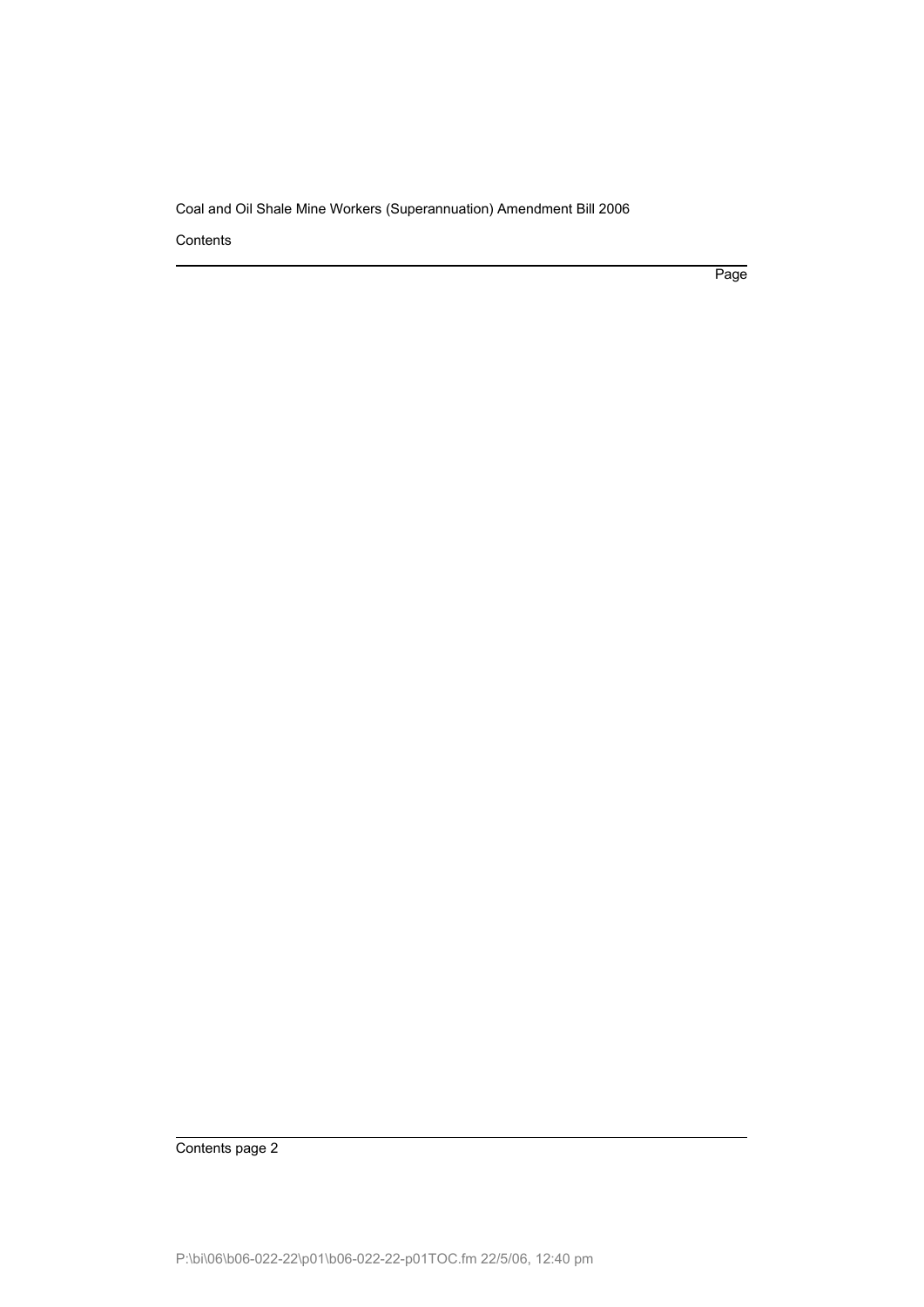**Contents** 

Page

Contents page 2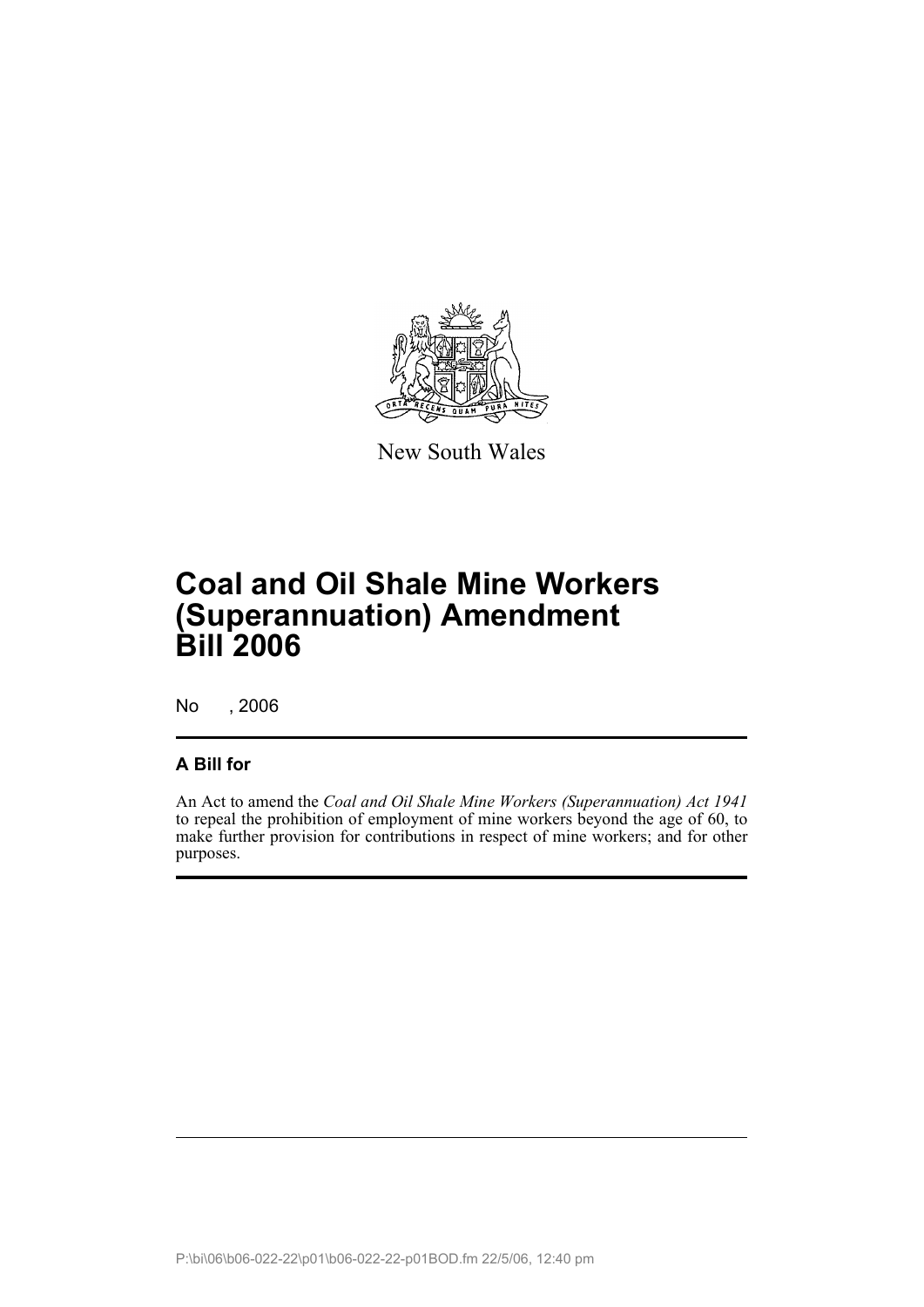

New South Wales

# **Coal and Oil Shale Mine Workers (Superannuation) Amendment Bill 2006**

No , 2006

### **A Bill for**

An Act to amend the *Coal and Oil Shale Mine Workers (Superannuation) Act 1941* to repeal the prohibition of employment of mine workers beyond the age of 60, to make further provision for contributions in respect of mine workers; and for other purposes.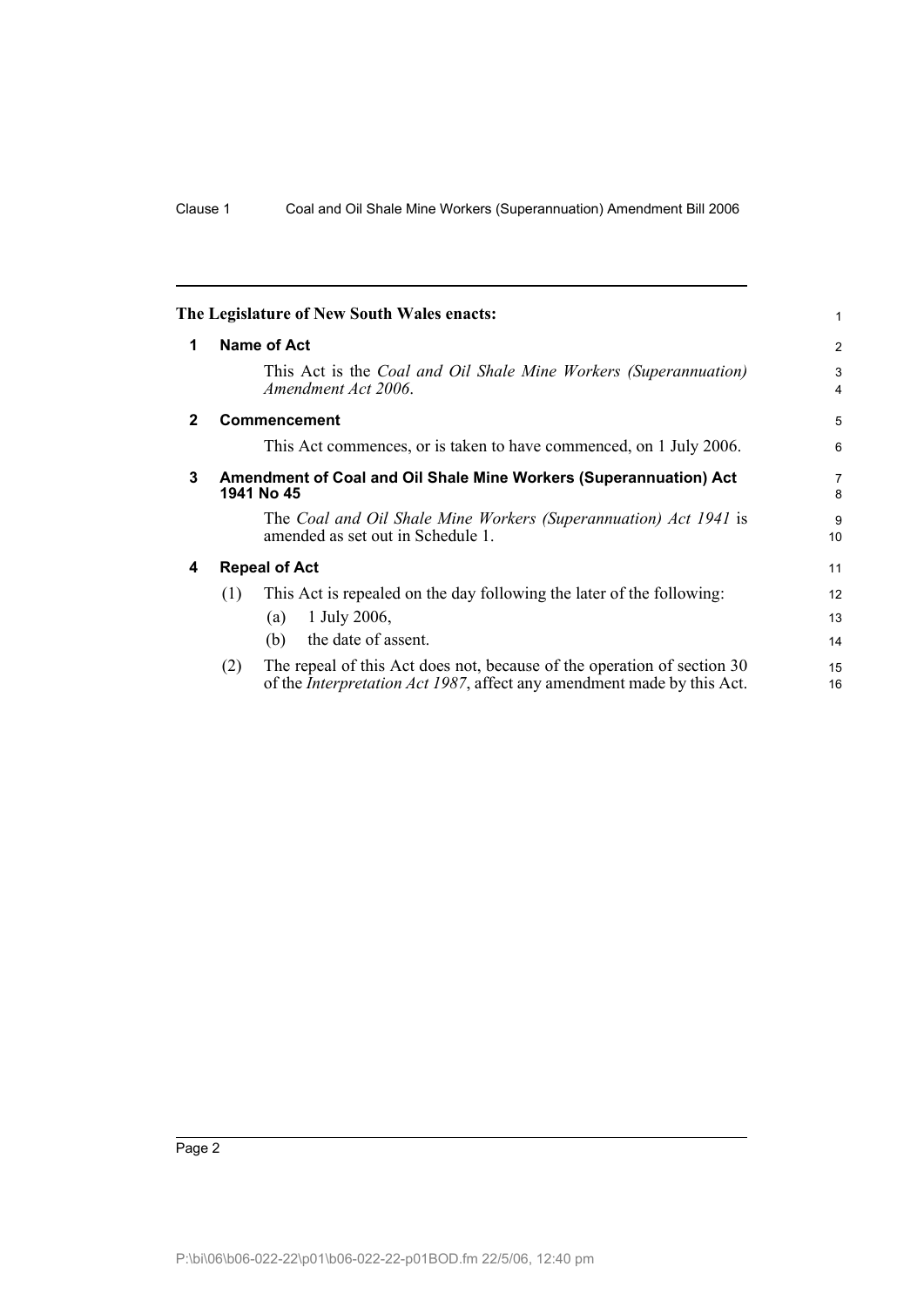<span id="page-5-3"></span><span id="page-5-2"></span><span id="page-5-1"></span><span id="page-5-0"></span>

|              |                                                                                 | The Legislature of New South Wales enacts:                                                                                                                | 1                   |  |
|--------------|---------------------------------------------------------------------------------|-----------------------------------------------------------------------------------------------------------------------------------------------------------|---------------------|--|
| 1            | Name of Act                                                                     |                                                                                                                                                           |                     |  |
|              |                                                                                 | This Act is the Coal and Oil Shale Mine Workers (Superannuation)<br>Amendment Act 2006.                                                                   | 3<br>$\overline{4}$ |  |
| $\mathbf{2}$ |                                                                                 | <b>Commencement</b>                                                                                                                                       | 5                   |  |
|              |                                                                                 | This Act commences, or is taken to have commenced, on 1 July 2006.                                                                                        | 6                   |  |
| 3            | Amendment of Coal and Oil Shale Mine Workers (Superannuation) Act<br>1941 No 45 |                                                                                                                                                           | $\overline{7}$<br>8 |  |
|              |                                                                                 | The Coal and Oil Shale Mine Workers (Superannuation) Act 1941 is<br>amended as set out in Schedule 1.                                                     | 9<br>10             |  |
| 4            |                                                                                 | <b>Repeal of Act</b>                                                                                                                                      | 11                  |  |
|              | (1)                                                                             | This Act is repealed on the day following the later of the following:                                                                                     | 12                  |  |
|              |                                                                                 | 1 July 2006,<br>(a)                                                                                                                                       | 13                  |  |
|              |                                                                                 | the date of assent.<br>(b)                                                                                                                                | 14                  |  |
|              | (2)                                                                             | The repeal of this Act does not, because of the operation of section 30<br>of the <i>Interpretation Act 1987</i> , affect any amendment made by this Act. | 15<br>16            |  |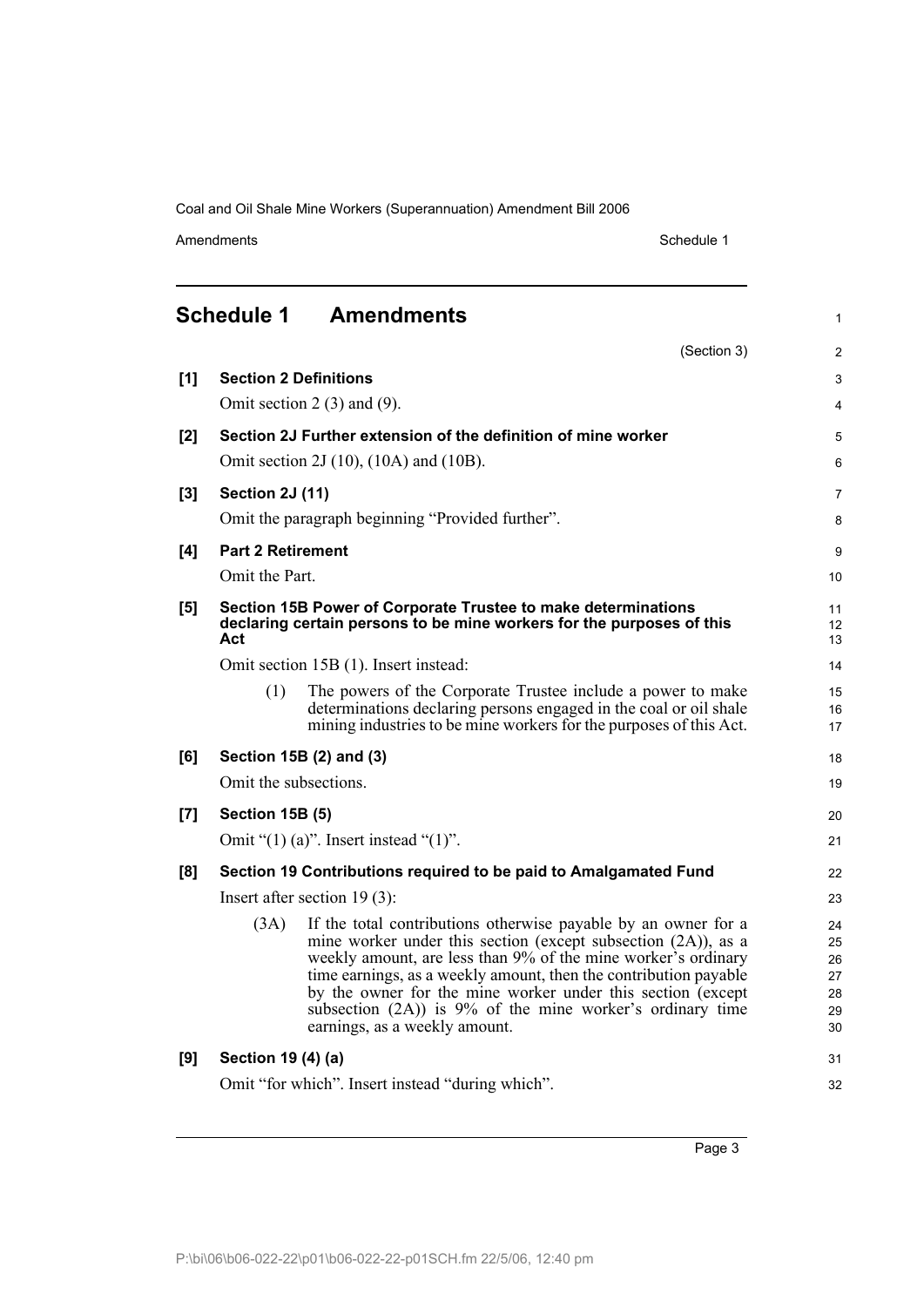Amendments Schedule 1

<span id="page-6-0"></span>

|       | <b>Schedule 1</b>                                                                                                                             | <b>Amendments</b>                                                                                                                                                                                                                                                                                                                                                                                                                     | $\mathbf{1}$                           |  |
|-------|-----------------------------------------------------------------------------------------------------------------------------------------------|---------------------------------------------------------------------------------------------------------------------------------------------------------------------------------------------------------------------------------------------------------------------------------------------------------------------------------------------------------------------------------------------------------------------------------------|----------------------------------------|--|
|       |                                                                                                                                               | (Section 3)                                                                                                                                                                                                                                                                                                                                                                                                                           | 2                                      |  |
| [1]   | <b>Section 2 Definitions</b>                                                                                                                  |                                                                                                                                                                                                                                                                                                                                                                                                                                       |                                        |  |
|       | Omit section $2(3)$ and $(9)$ .                                                                                                               |                                                                                                                                                                                                                                                                                                                                                                                                                                       |                                        |  |
| [2]   | Section 2J Further extension of the definition of mine worker                                                                                 |                                                                                                                                                                                                                                                                                                                                                                                                                                       |                                        |  |
|       | Omit section 2J (10), (10A) and (10B).                                                                                                        |                                                                                                                                                                                                                                                                                                                                                                                                                                       |                                        |  |
| $[3]$ | Section 2J (11)                                                                                                                               |                                                                                                                                                                                                                                                                                                                                                                                                                                       |                                        |  |
|       | Omit the paragraph beginning "Provided further".                                                                                              |                                                                                                                                                                                                                                                                                                                                                                                                                                       |                                        |  |
| [4]   | <b>Part 2 Retirement</b>                                                                                                                      |                                                                                                                                                                                                                                                                                                                                                                                                                                       | 9                                      |  |
|       | Omit the Part.                                                                                                                                |                                                                                                                                                                                                                                                                                                                                                                                                                                       |                                        |  |
| [5]   | Section 15B Power of Corporate Trustee to make determinations<br>declaring certain persons to be mine workers for the purposes of this<br>Act |                                                                                                                                                                                                                                                                                                                                                                                                                                       |                                        |  |
|       | Omit section 15B (1). Insert instead:                                                                                                         |                                                                                                                                                                                                                                                                                                                                                                                                                                       |                                        |  |
|       | (1)                                                                                                                                           | The powers of the Corporate Trustee include a power to make<br>determinations declaring persons engaged in the coal or oil shale<br>mining industries to be mine workers for the purposes of this Act.                                                                                                                                                                                                                                | 15<br>16<br>17                         |  |
| [6]   |                                                                                                                                               | Section 15B (2) and (3)                                                                                                                                                                                                                                                                                                                                                                                                               | 18                                     |  |
|       | Omit the subsections.                                                                                                                         |                                                                                                                                                                                                                                                                                                                                                                                                                                       |                                        |  |
| $[7]$ | <b>Section 15B (5)</b>                                                                                                                        |                                                                                                                                                                                                                                                                                                                                                                                                                                       |                                        |  |
|       | Omit " $(1)$ (a)". Insert instead " $(1)$ ".                                                                                                  |                                                                                                                                                                                                                                                                                                                                                                                                                                       |                                        |  |
| [8]   |                                                                                                                                               | Section 19 Contributions required to be paid to Amalgamated Fund                                                                                                                                                                                                                                                                                                                                                                      | 22                                     |  |
|       |                                                                                                                                               | Insert after section $19(3)$ :                                                                                                                                                                                                                                                                                                                                                                                                        | 23                                     |  |
|       | (3A)                                                                                                                                          | If the total contributions otherwise payable by an owner for a<br>mine worker under this section (except subsection $(2A)$ ), as a<br>weekly amount, are less than 9% of the mine worker's ordinary<br>time earnings, as a weekly amount, then the contribution payable<br>by the owner for the mine worker under this section (except<br>subsection $(2A)$ is 9% of the mine worker's ordinary time<br>earnings, as a weekly amount. | 24<br>25<br>26<br>27<br>28<br>29<br>30 |  |
| [9]   | Section 19 (4) (a)                                                                                                                            |                                                                                                                                                                                                                                                                                                                                                                                                                                       | 31                                     |  |
|       | Omit "for which". Insert instead "during which".                                                                                              |                                                                                                                                                                                                                                                                                                                                                                                                                                       |                                        |  |

Page 3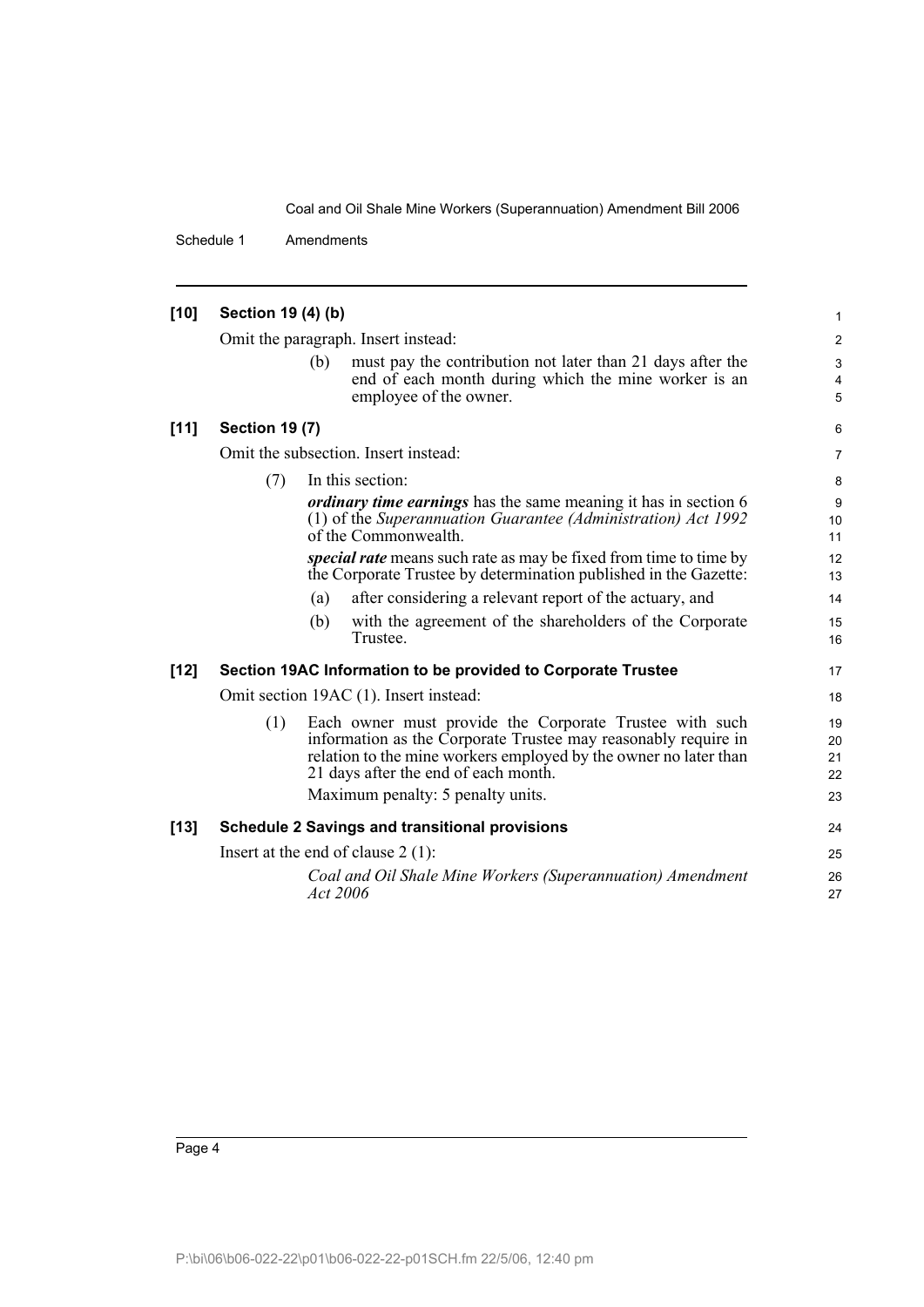Schedule 1 Amendments

| $[10]$ | Section 19 (4) (b)                                           |                 |                                                                                                                                                                                                                                                                            | 1                          |  |
|--------|--------------------------------------------------------------|-----------------|----------------------------------------------------------------------------------------------------------------------------------------------------------------------------------------------------------------------------------------------------------------------------|----------------------------|--|
|        | Omit the paragraph. Insert instead:                          |                 |                                                                                                                                                                                                                                                                            |                            |  |
|        |                                                              | (b)             | must pay the contribution not later than 21 days after the<br>end of each month during which the mine worker is an<br>employee of the owner.                                                                                                                               | 3<br>$\overline{4}$<br>5   |  |
| $[11]$ | <b>Section 19 (7)</b>                                        |                 |                                                                                                                                                                                                                                                                            |                            |  |
|        | Omit the subsection. Insert instead:                         |                 |                                                                                                                                                                                                                                                                            |                            |  |
|        | (7)                                                          |                 | In this section:                                                                                                                                                                                                                                                           | 8                          |  |
|        |                                                              |                 | <i>ordinary time earnings</i> has the same meaning it has in section 6<br>$(1)$ of the Superannuation Guarantee (Administration) Act 1992<br>of the Commonwealth.                                                                                                          | 9<br>10<br>11              |  |
|        |                                                              |                 | <i>special rate</i> means such rate as may be fixed from time to time by<br>the Corporate Trustee by determination published in the Gazette:                                                                                                                               | 12<br>13                   |  |
|        |                                                              | (a)             | after considering a relevant report of the actuary, and                                                                                                                                                                                                                    | 14                         |  |
|        |                                                              | (b)             | with the agreement of the shareholders of the Corporate<br>Trustee.                                                                                                                                                                                                        | 15<br>16                   |  |
| $[12]$ | Section 19AC Information to be provided to Corporate Trustee |                 |                                                                                                                                                                                                                                                                            |                            |  |
|        | Omit section 19AC (1). Insert instead:                       |                 |                                                                                                                                                                                                                                                                            |                            |  |
|        | (1)                                                          |                 | Each owner must provide the Corporate Trustee with such<br>information as the Corporate Trustee may reasonably require in<br>relation to the mine workers employed by the owner no later than<br>21 days after the end of each month.<br>Maximum penalty: 5 penalty units. | 19<br>20<br>21<br>22<br>23 |  |
| $[13]$ | <b>Schedule 2 Savings and transitional provisions</b>        |                 |                                                                                                                                                                                                                                                                            |                            |  |
|        | Insert at the end of clause $2(1)$ :                         |                 |                                                                                                                                                                                                                                                                            |                            |  |
|        |                                                              | <i>Act</i> 2006 | Coal and Oil Shale Mine Workers (Superannuation) Amendment                                                                                                                                                                                                                 | 26<br>27                   |  |